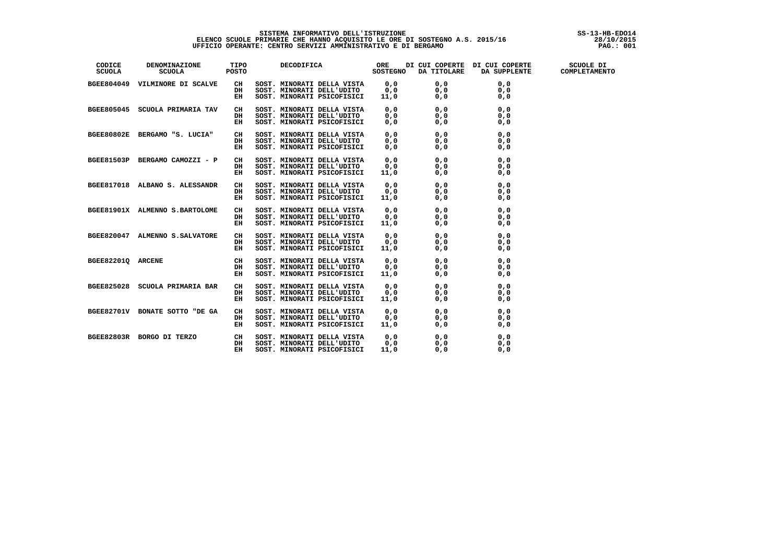# SISTEMA INFORMATIVO DELL'ISTRUZIONE<br>ELENCO SCUOLE PRIMARIE CHE HANNO ACQUISITO LE ORE DI SOSTEGNO A.S. 2015/16<br>UFFICIO OPERANTE: CENTRO SERVIZI AMMINISTRATIVO E DI BERGAMO

| CODICE<br><b>SCUOLA</b> | DENOMINAZIONE TIPO<br>SCUOLA POSTO        |    |                                                                                                                                                                                                                                                |      |     |     |  |
|-------------------------|-------------------------------------------|----|------------------------------------------------------------------------------------------------------------------------------------------------------------------------------------------------------------------------------------------------|------|-----|-----|--|
|                         | BGEE804049 VILMINORE DI SCALVE            |    |                                                                                                                                                                                                                                                |      |     |     |  |
|                         |                                           |    |                                                                                                                                                                                                                                                |      |     |     |  |
|                         |                                           |    | CH SOST. MINORATI DELLA VISTA 0,0 0,0 0,0<br>DH SOST. MINORATI DELL'UDITO 0,0 0,0 0,0<br>EH SOST. MINORATI PSICOFISICI 11,0 0,0 0,0<br>0,0                                                                                                     |      |     |     |  |
|                         |                                           |    |                                                                                                                                                                                                                                                |      |     |     |  |
|                         | BGEE805045 SCUOLA PRIMARIA TAV            | CH |                                                                                                                                                                                                                                                |      |     |     |  |
|                         |                                           | DH |                                                                                                                                                                                                                                                |      |     |     |  |
|                         |                                           | EH |                                                                                                                                                                                                                                                |      |     |     |  |
|                         |                                           |    |                                                                                                                                                                                                                                                |      |     |     |  |
|                         |                                           |    |                                                                                                                                                                                                                                                |      |     |     |  |
|                         |                                           |    | BGEE80802E BERGAMO "S. LUCIA" CH SOST. MINORATI DELL'UDITO 0,0 0,0 0,0<br>BERGAMO CAMOZZI – P CH SOST. MINORATI DELL'UDITO 0,0 0,0 0,0<br>BGEE81503P BERGAMO CAMOZZI – P CH SOST. MINORATI DELL'UDITO 0,0 0,0 0,0<br>BGEE81503P BERG           |      |     |     |  |
|                         |                                           |    |                                                                                                                                                                                                                                                |      |     |     |  |
|                         |                                           |    |                                                                                                                                                                                                                                                |      |     |     |  |
|                         |                                           |    |                                                                                                                                                                                                                                                |      |     |     |  |
|                         |                                           |    |                                                                                                                                                                                                                                                |      |     |     |  |
|                         |                                           |    |                                                                                                                                                                                                                                                |      |     |     |  |
|                         |                                           |    |                                                                                                                                                                                                                                                |      |     |     |  |
|                         |                                           |    |                                                                                                                                                                                                                                                |      |     |     |  |
|                         | BGEE81901X ALMENNO S.BARTOLOME            | CH | SOST. MINORATI DELLA VISTA<br>SOST. MINORATI DELL'UDITO<br>SOST. MINORATI DELL'UDITO<br>SOST. MINORATI DELL'UDITO<br>SOST. MINORATI DELLA VISTA<br>SOST. MINORATI DELLA VISTA<br>SOST. MINORATI DELLA VISTA<br>SOST. MINORATI DELLA VISTA<br>S |      |     |     |  |
|                         |                                           | DH |                                                                                                                                                                                                                                                |      |     |     |  |
|                         |                                           | EH |                                                                                                                                                                                                                                                |      |     |     |  |
|                         |                                           |    |                                                                                                                                                                                                                                                |      |     |     |  |
|                         | BGEE820047 ALMENNO S.SALVATORE            | CH |                                                                                                                                                                                                                                                |      |     |     |  |
|                         |                                           | DH |                                                                                                                                                                                                                                                |      |     |     |  |
|                         |                                           | EH |                                                                                                                                                                                                                                                |      |     |     |  |
| BGEE82201Q ARCENE       | $\begin{array}{c}\nCH \\ DH\n\end{array}$ |    |                                                                                                                                                                                                                                                |      |     |     |  |
|                         |                                           |    |                                                                                                                                                                                                                                                |      |     |     |  |
|                         |                                           | EH |                                                                                                                                                                                                                                                |      |     |     |  |
|                         |                                           |    |                                                                                                                                                                                                                                                |      |     |     |  |
|                         | BGEE825028 SCUOLA PRIMARIA BAR            | CH |                                                                                                                                                                                                                                                |      |     |     |  |
|                         |                                           | DH |                                                                                                                                                                                                                                                |      |     |     |  |
|                         |                                           | EH |                                                                                                                                                                                                                                                |      |     |     |  |
|                         | BGEE82701V BONATE SOTTO "DE GA            | CH |                                                                                                                                                                                                                                                |      |     |     |  |
|                         |                                           | DH |                                                                                                                                                                                                                                                |      |     |     |  |
|                         |                                           | EH |                                                                                                                                                                                                                                                |      |     |     |  |
|                         | BGEE82803R BORGO DI TERZO CH              |    |                                                                                                                                                                                                                                                |      |     |     |  |
|                         |                                           | DH |                                                                                                                                                                                                                                                |      |     |     |  |
|                         |                                           | EH | SOST. MINORATI DELLA VISTA 0,0 0,0 0,0<br>SOST. MINORATI DELL'UDITO 0,0 0,0 0,0<br>SOST. MINORATI PSICOFISICI 11.0 0.0 0.0                                                                                                                     |      | 0.0 |     |  |
|                         |                                           |    | SOST. MINORATI PSICOFISICI                                                                                                                                                                                                                     | 11,0 |     | 0.0 |  |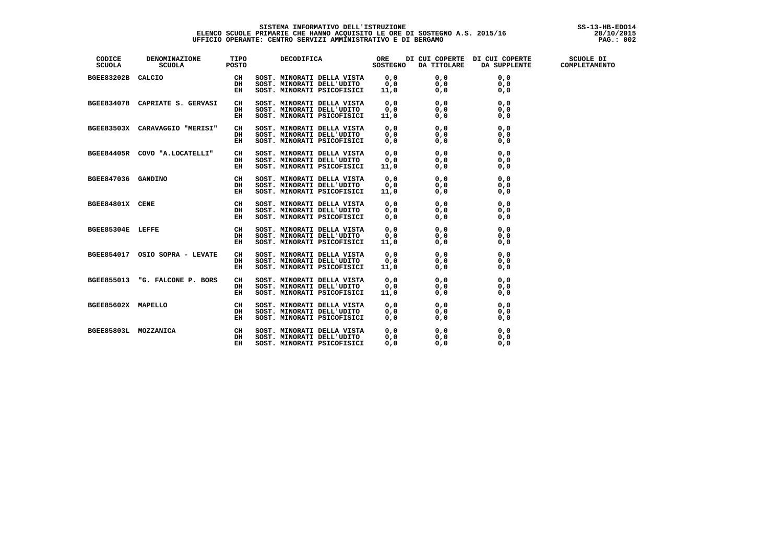| CODICE DENOMINAZIONE TIPO DECODIFICA ORE DICUICOPERTE DICUICOPERTE SCUOLEDI<br>SCUOLA SCUOLA POSTO DECODIFICA SOSTEGNO DATITOLARE DA SUPPLENTE COMPLETAMENTO |    |                                                                                                                                                                                                                                            |  |  |
|--------------------------------------------------------------------------------------------------------------------------------------------------------------|----|--------------------------------------------------------------------------------------------------------------------------------------------------------------------------------------------------------------------------------------------|--|--|
|                                                                                                                                                              |    |                                                                                                                                                                                                                                            |  |  |
|                                                                                                                                                              |    |                                                                                                                                                                                                                                            |  |  |
|                                                                                                                                                              |    |                                                                                                                                                                                                                                            |  |  |
| BGEE834078 CAPRIATE S. GERVASI CH                                                                                                                            |    | SOST. MINORATI DELLA VISTA 0,0 0,0 0,0<br>SOST. MINORATI DELL'UDITO 0,0 0,0 0,0<br>SOST. MINORATI PSICOFISICI 11,0 0,0 0,0 0,0                                                                                                             |  |  |
|                                                                                                                                                              | DH |                                                                                                                                                                                                                                            |  |  |
|                                                                                                                                                              | EH |                                                                                                                                                                                                                                            |  |  |
|                                                                                                                                                              |    |                                                                                                                                                                                                                                            |  |  |
|                                                                                                                                                              |    |                                                                                                                                                                                                                                            |  |  |
|                                                                                                                                                              |    | BGEE83503X CARAVAGGIO "MERISI" CH SOST. MINORATI DELLA VISTO 0,0 0,0 0,0<br>BEE84405R COVO "A.LOCATELLI" CH SOST. MINORATI DELLA VISTO 0,0 0,0 0,0<br>BGEE84405R COVO "A.LOCATELLI" CH SOST. MINORATI DELLA VISTA 0,0 0,0 0,0<br>BGE       |  |  |
|                                                                                                                                                              |    |                                                                                                                                                                                                                                            |  |  |
|                                                                                                                                                              |    |                                                                                                                                                                                                                                            |  |  |
|                                                                                                                                                              |    |                                                                                                                                                                                                                                            |  |  |
|                                                                                                                                                              |    |                                                                                                                                                                                                                                            |  |  |
|                                                                                                                                                              |    |                                                                                                                                                                                                                                            |  |  |
|                                                                                                                                                              |    |                                                                                                                                                                                                                                            |  |  |
|                                                                                                                                                              |    | BGEE84801X CENE CH SOST. MINORATI DELLA VISTA 0,0 0,0 0,0 0,0<br>BGEE85304E LEFFE CH SOST. MINORATI DELLA VISTA 0,0 0,0 0,0<br>DE SOST. MINORATI DELLA VISTA 0,0 0,0 0,0<br>DE SOST. MINORATI DELLA VISTA 0,0 0,0 0,0<br>DE SOST. MINO     |  |  |
|                                                                                                                                                              |    |                                                                                                                                                                                                                                            |  |  |
|                                                                                                                                                              |    |                                                                                                                                                                                                                                            |  |  |
|                                                                                                                                                              |    |                                                                                                                                                                                                                                            |  |  |
|                                                                                                                                                              |    |                                                                                                                                                                                                                                            |  |  |
|                                                                                                                                                              |    |                                                                                                                                                                                                                                            |  |  |
|                                                                                                                                                              |    |                                                                                                                                                                                                                                            |  |  |
|                                                                                                                                                              |    |                                                                                                                                                                                                                                            |  |  |
|                                                                                                                                                              |    |                                                                                                                                                                                                                                            |  |  |
|                                                                                                                                                              |    |                                                                                                                                                                                                                                            |  |  |
|                                                                                                                                                              |    |                                                                                                                                                                                                                                            |  |  |
|                                                                                                                                                              |    |                                                                                                                                                                                                                                            |  |  |
|                                                                                                                                                              |    |                                                                                                                                                                                                                                            |  |  |
|                                                                                                                                                              |    |                                                                                                                                                                                                                                            |  |  |
|                                                                                                                                                              |    |                                                                                                                                                                                                                                            |  |  |
|                                                                                                                                                              |    | BGEE85602X MAPELLO CH SOST. MINORATI DELLA VISTA 0,0 0,0 0,0<br>DH SOST. MINORATI DELL'UDITO 0,0 0,0 0,0<br>EH SOST. MINORATI PSICOFISICI 0,0 0,0 0,0<br>DH SOST. MINORATI DELLA VISTA 0,0 0,0 0,0<br>DH SOST. MINORATI DELLA VISTA 0,0 0, |  |  |
|                                                                                                                                                              |    |                                                                                                                                                                                                                                            |  |  |
|                                                                                                                                                              |    |                                                                                                                                                                                                                                            |  |  |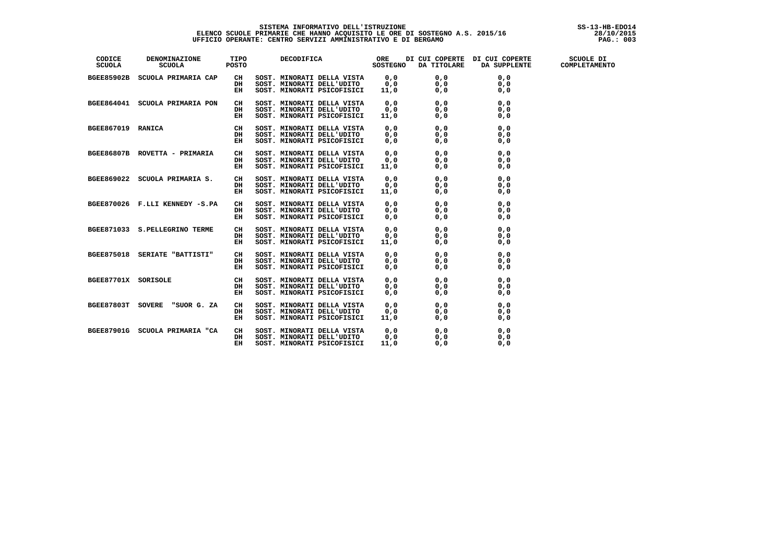| CODICE<br><b>SCUOLA</b> | DENOMINAZIONE TIPO<br>SCUOLA POSTO                                                                                                                                                                                                             |          |                                                                                                                                                                                                                                          |  |  |
|-------------------------|------------------------------------------------------------------------------------------------------------------------------------------------------------------------------------------------------------------------------------------------|----------|------------------------------------------------------------------------------------------------------------------------------------------------------------------------------------------------------------------------------------------|--|--|
|                         | BGEE85902B SCUOLA PRIMARIA CAP                                                                                                                                                                                                                 | CH<br>DH |                                                                                                                                                                                                                                          |  |  |
|                         |                                                                                                                                                                                                                                                | EH       |                                                                                                                                                                                                                                          |  |  |
|                         |                                                                                                                                                                                                                                                |          |                                                                                                                                                                                                                                          |  |  |
|                         |                                                                                                                                                                                                                                                |          |                                                                                                                                                                                                                                          |  |  |
|                         |                                                                                                                                                                                                                                                |          |                                                                                                                                                                                                                                          |  |  |
|                         | BGEE864041 SCUOLA PRIMARIA PON<br>EH SOST. MINORATI DELLA UDITO<br>SOST. MINORATI DELLA UDITO<br>305T. MINORATI PELLA UDITO<br>305T. MINORATI PELLA VISTA<br>2011 11,0<br>2013<br>2013 SOST. MINORATI DELLA UDITO<br>2013 SOST. MINORATI DELLA |          |                                                                                                                                                                                                                                          |  |  |
|                         |                                                                                                                                                                                                                                                |          |                                                                                                                                                                                                                                          |  |  |
|                         |                                                                                                                                                                                                                                                |          |                                                                                                                                                                                                                                          |  |  |
|                         |                                                                                                                                                                                                                                                |          |                                                                                                                                                                                                                                          |  |  |
|                         |                                                                                                                                                                                                                                                |          |                                                                                                                                                                                                                                          |  |  |
|                         | BGEE870026 F.LLI KENNEDY -S.PA                                                                                                                                                                                                                 |          |                                                                                                                                                                                                                                          |  |  |
|                         |                                                                                                                                                                                                                                                |          |                                                                                                                                                                                                                                          |  |  |
|                         | BGEE871033 S.PELLEGRINO TERME                                                                                                                                                                                                                  |          |                                                                                                                                                                                                                                          |  |  |
|                         |                                                                                                                                                                                                                                                |          |                                                                                                                                                                                                                                          |  |  |
|                         | BGEE875018 SERIATE "BATTISTI"                                                                                                                                                                                                                  |          |                                                                                                                                                                                                                                          |  |  |
|                         |                                                                                                                                                                                                                                                |          |                                                                                                                                                                                                                                          |  |  |
| BGEE87701X SORISOLE     | $\begin{array}{c}\nCH \\ DH\n\end{array}$                                                                                                                                                                                                      |          |                                                                                                                                                                                                                                          |  |  |
|                         |                                                                                                                                                                                                                                                |          |                                                                                                                                                                                                                                          |  |  |
|                         | BGEE87803T SOVERE "SUOR G. ZA                                                                                                                                                                                                                  |          |                                                                                                                                                                                                                                          |  |  |
|                         |                                                                                                                                                                                                                                                |          | ER SOSI. MINORATI PSLOGISICI 11,0 0,0 0,0 0,0<br>BH SOST. MINORATI DELLA VISTA 0,0 0,0 0,0<br>SEH SOST. MINORATI PSLOGISICI 0,0 0,0 0,0<br>SEH SOST. MINORATI DELLA VISTA 0,0 0,0 0,0<br>DE SOST. MINORATI DELLA VISTA 0,0 0,0 0,0<br>SE |  |  |
|                         | BGEE87901G SCUOLA PRIMARIA "CA                                                                                                                                                                                                                 | CH<br>DH | SOST. MINORATI DELLA VISTA $0,0$ 0,0 0,0 0,0<br>SOST. MINORATI DELL'UDITO 0,0 0,0 0,0<br>SOST. MINORATI PSICOFISICI 11,0 0,0 0,0                                                                                                         |  |  |
|                         |                                                                                                                                                                                                                                                | EH       |                                                                                                                                                                                                                                          |  |  |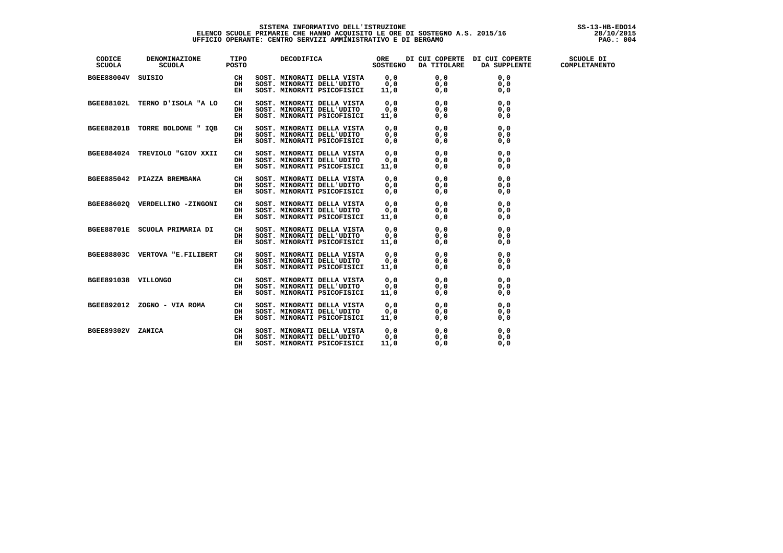| CODICE<br>SCUOLA    | DENOMINAZIONE TIPO<br>SCUOLA POSTO                                 |           | DECODIFICA ORE DI CUI COPERTE DI CUI COPERTE SCUOLE DI SOSTEGNO DA TITOLARE DA SUPPLENTE COMPLETAMENTO                                                                                                                                       |  |  |
|---------------------|--------------------------------------------------------------------|-----------|----------------------------------------------------------------------------------------------------------------------------------------------------------------------------------------------------------------------------------------------|--|--|
| BGEE88004V SUISIO   |                                                                    |           |                                                                                                                                                                                                                                              |  |  |
|                     |                                                                    |           |                                                                                                                                                                                                                                              |  |  |
|                     |                                                                    |           |                                                                                                                                                                                                                                              |  |  |
|                     |                                                                    |           | BGEE88102L TERNO D'ISOLA "A LO CH SOST. MINORATI DELLA VISTA 0,0 0,0 0,0<br>BGEE88201B TORRE BOLDONE " IQB SOST. MINORATI DELLA VIDITO 0,0 0,0 0,0<br>BGEE88201B TORRE BOLDONE " IQB SOST. MINORATI DELLA VISTA<br>BGEES8201B TORRE          |  |  |
|                     |                                                                    |           |                                                                                                                                                                                                                                              |  |  |
|                     |                                                                    |           |                                                                                                                                                                                                                                              |  |  |
|                     |                                                                    |           |                                                                                                                                                                                                                                              |  |  |
|                     |                                                                    |           |                                                                                                                                                                                                                                              |  |  |
|                     |                                                                    |           |                                                                                                                                                                                                                                              |  |  |
|                     |                                                                    |           |                                                                                                                                                                                                                                              |  |  |
|                     |                                                                    |           |                                                                                                                                                                                                                                              |  |  |
|                     |                                                                    |           |                                                                                                                                                                                                                                              |  |  |
|                     |                                                                    |           |                                                                                                                                                                                                                                              |  |  |
|                     |                                                                    |           |                                                                                                                                                                                                                                              |  |  |
|                     |                                                                    |           |                                                                                                                                                                                                                                              |  |  |
|                     |                                                                    |           |                                                                                                                                                                                                                                              |  |  |
|                     |                                                                    |           |                                                                                                                                                                                                                                              |  |  |
|                     |                                                                    |           |                                                                                                                                                                                                                                              |  |  |
|                     | BGEE88701E SCUOLA PRIMARIA DI CH                                   |           |                                                                                                                                                                                                                                              |  |  |
|                     |                                                                    | DH        |                                                                                                                                                                                                                                              |  |  |
|                     |                                                                    | EH        |                                                                                                                                                                                                                                              |  |  |
|                     | BGEE88803C VERTOVA "E.FILIBERT                                     | CH        |                                                                                                                                                                                                                                              |  |  |
|                     |                                                                    | DH        |                                                                                                                                                                                                                                              |  |  |
|                     |                                                                    | EH        |                                                                                                                                                                                                                                              |  |  |
| BGEE891038 VILLONGO | $\begin{array}{c}\nCH \\ DH \\ \overline{D}H\n\end{array}$         |           |                                                                                                                                                                                                                                              |  |  |
|                     |                                                                    |           |                                                                                                                                                                                                                                              |  |  |
|                     |                                                                    | <b>EH</b> |                                                                                                                                                                                                                                              |  |  |
|                     | BGEE892012 ZOGNO - VIA ROMA CH                                     |           |                                                                                                                                                                                                                                              |  |  |
|                     |                                                                    | DH        |                                                                                                                                                                                                                                              |  |  |
|                     |                                                                    | $E = E$   | SOST. MINORATI DELLA VISTA<br>SOST. MINORATI DELLA VISTA<br>SOST. MINORATI DELLA VISTA<br>SOST. MINORATI DELLA VISTA<br>SOST. MINORATI DELLA VISTA<br>SOST. MINORATI DELLA VISTA<br>SOST. MINORATI DELLA VISTA<br>SOST. MINORATI DELLA VISTA |  |  |
| BGEE89302V ZANICA   | $\begin{array}{c} \text{CH} \\ \text{DH} \\ \text{EH} \end{array}$ |           | SOST. MINORATI DELLA VISTA 0,0 0,0 0,0<br>SOST. MINORATI DELL'UDITO 0,0 0,0 0,0<br>SOST. MINORATI PSICOFISICI 11,0 0,0 0,0                                                                                                                   |  |  |
|                     |                                                                    |           |                                                                                                                                                                                                                                              |  |  |
|                     |                                                                    |           |                                                                                                                                                                                                                                              |  |  |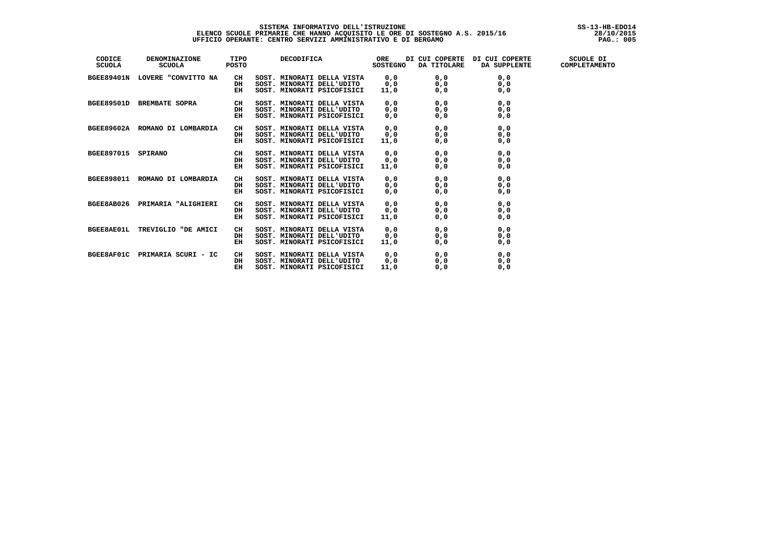i

| CODICE<br><b>SCUOLA</b> | <b>DENOMINAZIONE</b><br><b>SCUOLA</b> | TIPO<br><b>POSTO</b> | DECODIFICA                                                       | ORE<br><b>SOSTEGNO</b> | DI CUI COPERTE<br>DA TITOLARE | DI CUI COPERTE | SCUOLE DI<br>DA SUPPLENTE COMPLETAMENTO |
|-------------------------|---------------------------------------|----------------------|------------------------------------------------------------------|------------------------|-------------------------------|----------------|-----------------------------------------|
|                         | BGEE89401N LOVERE "CONVITTO NA        | CH                   | SOST. MINORATI DELLA VISTA                                       | 0, 0                   | 0, 0                          | 0, 0           |                                         |
|                         |                                       | DH                   | SOST. MINORATI DELL'UDITO                                        | 0, 0                   | 0, 0                          | 0, 0           |                                         |
|                         |                                       | EH                   | SOST. MINORATI PSICOFISICI                                       | 11,0                   | 0, 0                          | 0, 0           |                                         |
|                         | BGEE89501D BREMBATE SOPRA             | CH                   | SOST. MINORATI DELLA VISTA                                       | 0, 0                   | 0, 0                          | 0, 0           |                                         |
|                         |                                       | DH                   | SOST. MINORATI DELL'UDITO $0,0$                                  |                        | 0, 0                          | 0, 0           |                                         |
|                         |                                       | EH                   | SOST. MINORATI PSICOFISICI                                       | 0, 0                   | 0, 0                          | 0, 0           |                                         |
|                         | BGEE89602A ROMANO DI LOMBARDIA        | CH                   | SOST. MINORATI DELLA VISTA 0,0 0,0                               |                        |                               | 0, 0           |                                         |
|                         |                                       | DH                   |                                                                  |                        | 0, 0                          | 0, 0           |                                         |
|                         |                                       | EH                   | SOST. MINORATI DELL'UDITO 0,0<br>SOST. MINORATI PSICOFISICI 11,0 |                        | 0, 0                          | 0, 0           |                                         |
| BGEE897015 SPIRANO      |                                       | CH                   | SOST. MINORATI DELLA VISTA                                       | 0, 0                   | 0, 0                          | 0, 0           |                                         |
|                         |                                       | DH                   | SOST. MINORATI DELL'UDITO                                        | 0, 0                   | 0, 0                          | 0, 0           |                                         |
|                         |                                       | EH                   | SOST. MINORATI PSICOFISICI                                       | 11,0                   | 0, 0                          | 0, 0           |                                         |
|                         | BGEE898011 ROMANO DI LOMBARDIA        | CH                   | SOST. MINORATI DELLA VISTA                                       | $0,0\0,0$              | 0, 0                          | 0, 0           |                                         |
|                         |                                       | DH                   | SOST. MINORATI DELL'UDITO                                        |                        | 0, 0                          | 0, 0           |                                         |
|                         |                                       | EH                   | SOST. MINORATI PSICOFISICI                                       | 0, 0                   | 0, 0                          | 0, 0           |                                         |
|                         | BGEE8AB026 PRIMARIA "ALIGHIERI        | CH                   | SOST. MINORATI DELLA VISTA                                       | 0, 0                   | 0, 0                          | 0, 0           |                                         |
|                         |                                       | DH                   | SOST. MINORATI DELL'UDITO                                        | 0, 0                   | 0, 0                          | 0, 0           |                                         |
|                         |                                       | EH                   | SOST. MINORATI PSICOFISICI                                       | 11,0                   | 0, 0                          | 0, 0           |                                         |
|                         | BGEE8AE01L TREVIGLIO "DE AMICI        | CH                   | SOST. MINORATI DELLA VISTA                                       | 0, 0                   | 0, 0                          | 0, 0           |                                         |
|                         |                                       | DH                   | SOST. MINORATI DELL'UDITO                                        | 0, 0                   | 0, 0                          | 0, 0           |                                         |
|                         |                                       | EH                   | SOST. MINORATI PSICOFISICI                                       | 11,0                   | 0, 0                          | 0, 0           |                                         |
|                         | BGEE8AF01C PRIMARIA SCURI - IC        | CH                   | SOST. MINORATI DELLA VISTA                                       | 0, 0                   | 0, 0                          | 0, 0           |                                         |
|                         |                                       | DH                   | SOST. MINORATI DELL'UDITO 0,0                                    |                        | 0, 0                          | 0, 0           |                                         |
|                         |                                       | EH                   | SOST. MINORATI PSICOFISICI                                       | 11,0                   | 0, 0                          | 0, 0           |                                         |